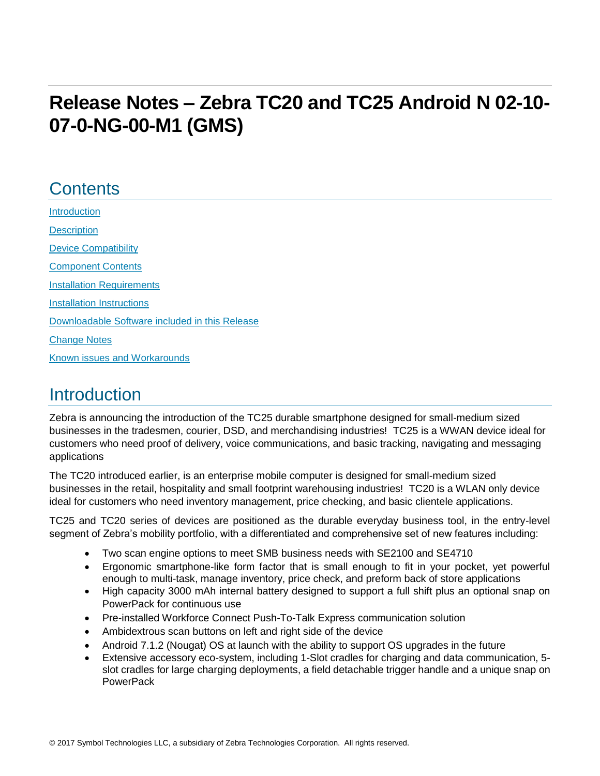# **Release Notes – Zebra TC20 and TC25 Android N 02-10- 07-0-NG-00-M1 (GMS)**

### **Contents**

**[Introduction](#page-0-0) [Description](#page-0-0)** [Device Compatibility](#page-1-0) [Component Contents](#page-1-1) [Installation Requirements](#page-2-0) [Installation Instructions](#page-3-0) [Downloadable Software included in this Release](#page-5-0)  [Change Notes](#page-6-0) Known issues [and](#page-8-0) Workarounds

## <span id="page-0-0"></span>**Introduction**

Zebra is announcing the introduction of the TC25 durable smartphone designed for small-medium sized businesses in the tradesmen, courier, DSD, and merchandising industries! TC25 is a WWAN device ideal for customers who need proof of delivery, voice communications, and basic tracking, navigating and messaging applications

The TC20 introduced earlier, is an enterprise mobile computer is designed for small-medium sized businesses in the retail, hospitality and small footprint warehousing industries! TC20 is a WLAN only device ideal for customers who need inventory management, price checking, and basic clientele applications.

TC25 and TC20 series of devices are positioned as the durable everyday business tool, in the entry-level segment of Zebra's mobility portfolio, with a differentiated and comprehensive set of new features including:

- Two scan engine options to meet SMB business needs with SE2100 and SE4710
- Ergonomic smartphone-like form factor that is small enough to fit in your pocket, yet powerful enough to multi-task, manage inventory, price check, and preform back of store applications
- High capacity 3000 mAh internal battery designed to support a full shift plus an optional snap on PowerPack for continuous use
- Pre-installed Workforce Connect Push-To-Talk Express communication solution
- Ambidextrous scan buttons on left and right side of the device
- Android 7.1.2 (Nougat) OS at launch with the ability to support OS upgrades in the future
- Extensive accessory eco-system, including 1-Slot cradles for charging and data communication, 5 slot cradles for large charging deployments, a field detachable trigger handle and a unique snap on **PowerPack**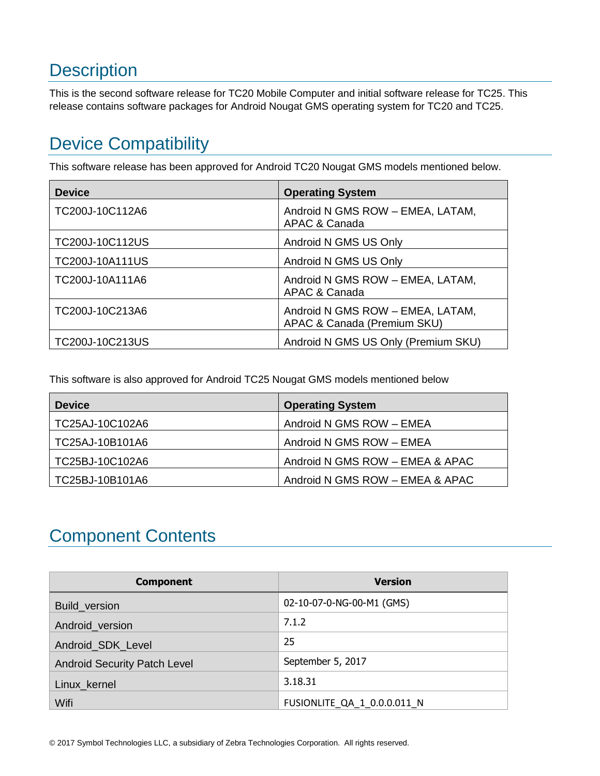# **Description**

This is the second software release for TC20 Mobile Computer and initial software release for TC25. This release contains software packages for Android Nougat GMS operating system for TC20 and TC25.

# <span id="page-1-0"></span>Device Compatibility

This software release has been approved for Android TC20 Nougat GMS models mentioned below.

| <b>Device</b>   | <b>Operating System</b>                                         |
|-----------------|-----------------------------------------------------------------|
| TC200J-10C112A6 | Android N GMS ROW - EMEA, LATAM,<br>APAC & Canada               |
| TC200J-10C112US | Android N GMS US Only                                           |
| TC200J-10A111US | Android N GMS US Only                                           |
| TC200J-10A111A6 | Android N GMS ROW - EMEA, LATAM,<br>APAC & Canada               |
| TC200J-10C213A6 | Android N GMS ROW - EMEA, LATAM,<br>APAC & Canada (Premium SKU) |
| TC200J-10C213US | Android N GMS US Only (Premium SKU)                             |

This software is also approved for Android TC25 Nougat GMS models mentioned below

| <b>Device</b>   | <b>Operating System</b>         |
|-----------------|---------------------------------|
| TC25AJ-10C102A6 | Android N GMS ROW - EMEA        |
| TC25AJ-10B101A6 | Android N GMS ROW - EMEA        |
| TC25BJ-10C102A6 | Android N GMS ROW - EMEA & APAC |
| TC25BJ-10B101A6 | Android N GMS ROW - EMEA & APAC |

## <span id="page-1-1"></span>Component Contents

| <b>Component</b>                    | <b>Version</b>              |
|-------------------------------------|-----------------------------|
| Build_version                       | 02-10-07-0-NG-00-M1 (GMS)   |
| Android_version                     | 7.1.2                       |
| Android_SDK_Level                   | 25                          |
| <b>Android Security Patch Level</b> | September 5, 2017           |
| Linux_kernel                        | 3.18.31                     |
| Wifi                                | FUSIONLITE QA 1 0.0.0.011 N |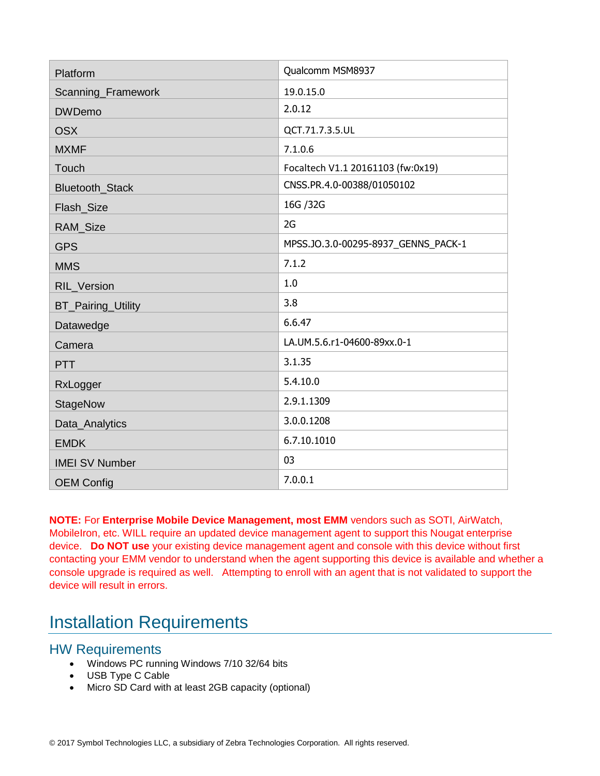| Platform                  | Qualcomm MSM8937                    |
|---------------------------|-------------------------------------|
| Scanning_Framework        | 19.0.15.0                           |
| <b>DWDemo</b>             | 2.0.12                              |
| <b>OSX</b>                | QCT.71.7.3.5.UL                     |
| <b>MXMF</b>               | 7.1.0.6                             |
| Touch                     | Focaltech V1.1 20161103 (fw:0x19)   |
| Bluetooth_Stack           | CNSS.PR.4.0-00388/01050102          |
| Flash_Size                | 16G / 32G                           |
| RAM_Size                  | 2G                                  |
| <b>GPS</b>                | MPSS.JO.3.0-00295-8937_GENNS_PACK-1 |
| <b>MMS</b>                | 7.1.2                               |
| RIL_Version               | 1.0                                 |
| <b>BT_Pairing_Utility</b> | 3.8                                 |
| Datawedge                 | 6.6.47                              |
| Camera                    | LA.UM.5.6.r1-04600-89xx.0-1         |
| PTT                       | 3.1.35                              |
| RxLogger                  | 5.4.10.0                            |
| StageNow                  | 2.9.1.1309                          |
| Data_Analytics            | 3.0.0.1208                          |
| <b>EMDK</b>               | 6.7.10.1010                         |
| <b>IMEI SV Number</b>     | 03                                  |
| <b>OEM Config</b>         | 7.0.0.1                             |

**NOTE:** For **Enterprise Mobile Device Management, most EMM** vendors such as SOTI, AirWatch, MobileIron, etc. WILL require an updated device management agent to support this Nougat enterprise device. **Do NOT use** your existing device management agent and console with this device without first contacting your EMM vendor to understand when the agent supporting this device is available and whether a console upgrade is required as well. Attempting to enroll with an agent that is not validated to support the device will result in errors.

## <span id="page-2-0"></span>Installation Requirements

#### HW Requirements

- Windows PC running Windows 7/10 32/64 bits
- USB Type C Cable
- Micro SD Card with at least 2GB capacity (optional)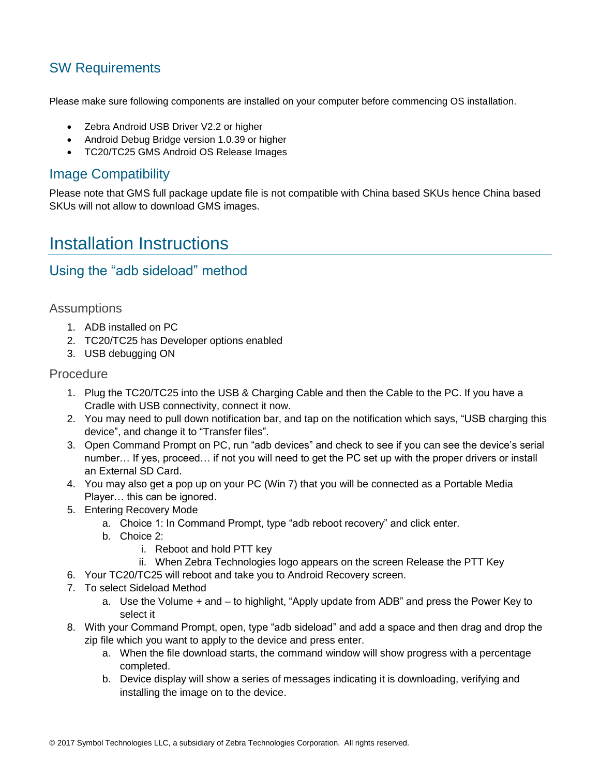### SW Requirements

Please make sure following components are installed on your computer before commencing OS installation.

- Zebra Android USB Driver V2.2 or higher
- Android Debug Bridge version 1.0.39 or higher
- TC20/TC25 GMS Android OS Release Images

#### Image Compatibility

Please note that GMS full package update file is not compatible with China based SKUs hence China based SKUs will not allow to download GMS images.

### <span id="page-3-0"></span>Installation Instructions

#### Using the "adb sideload" method

#### **Assumptions**

- 1. ADB installed on PC
- 2. TC20/TC25 has Developer options enabled
- 3. USB debugging ON

#### Procedure

- 1. Plug the TC20/TC25 into the USB & Charging Cable and then the Cable to the PC. If you have a Cradle with USB connectivity, connect it now.
- 2. You may need to pull down notification bar, and tap on the notification which says, "USB charging this device", and change it to "Transfer files".
- 3. Open Command Prompt on PC, run "adb devices" and check to see if you can see the device's serial number… If yes, proceed… if not you will need to get the PC set up with the proper drivers or install an External SD Card.
- 4. You may also get a pop up on your PC (Win 7) that you will be connected as a Portable Media Player… this can be ignored.
- 5. Entering Recovery Mode
	- a. Choice 1: In Command Prompt, type "adb reboot recovery" and click enter.
	- b. Choice 2:
		- i. Reboot and hold PTT key
	- ii. When Zebra Technologies logo appears on the screen Release the PTT Key
- 6. Your TC20/TC25 will reboot and take you to Android Recovery screen.
- 7. To select Sideload Method
	- a. Use the Volume + and to highlight, "Apply update from ADB" and press the Power Key to select it
- 8. With your Command Prompt, open, type "adb sideload" and add a space and then drag and drop the zip file which you want to apply to the device and press enter.
	- a. When the file download starts, the command window will show progress with a percentage completed.
	- b. Device display will show a series of messages indicating it is downloading, verifying and installing the image on to the device.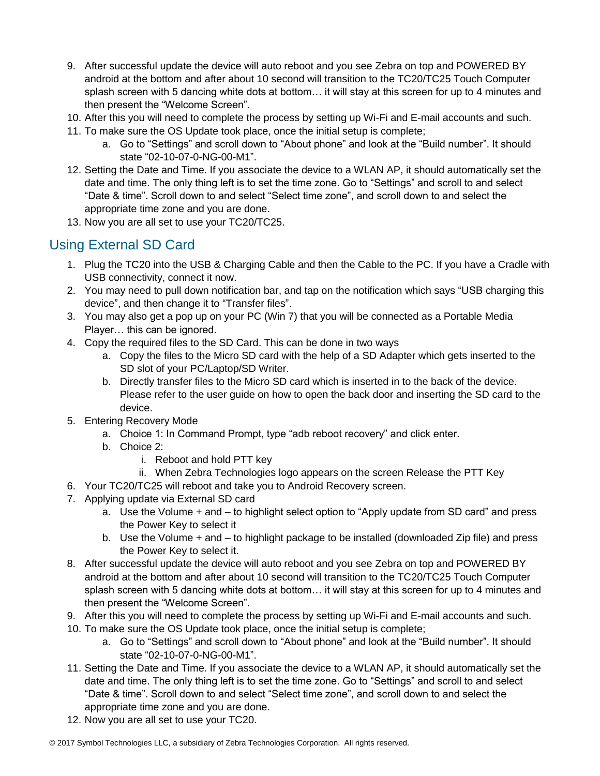- 9. After successful update the device will auto reboot and you see Zebra on top and POWERED BY android at the bottom and after about 10 second will transition to the TC20/TC25 Touch Computer splash screen with 5 dancing white dots at bottom… it will stay at this screen for up to 4 minutes and then present the "Welcome Screen".
- 10. After this you will need to complete the process by setting up Wi-Fi and E-mail accounts and such.
- 11. To make sure the OS Update took place, once the initial setup is complete;
	- a. Go to "Settings" and scroll down to "About phone" and look at the "Build number". It should state "02-10-07-0-NG-00-M1".
- 12. Setting the Date and Time. If you associate the device to a WLAN AP, it should automatically set the date and time. The only thing left is to set the time zone. Go to "Settings" and scroll to and select "Date & time". Scroll down to and select "Select time zone", and scroll down to and select the appropriate time zone and you are done.
- 13. Now you are all set to use your TC20/TC25.

### <span id="page-4-0"></span>Using External SD Card

- 1. Plug the TC20 into the USB & Charging Cable and then the Cable to the PC. If you have a Cradle with USB connectivity, connect it now.
- 2. You may need to pull down notification bar, and tap on the notification which says "USB charging this device", and then change it to "Transfer files".
- 3. You may also get a pop up on your PC (Win 7) that you will be connected as a Portable Media Player… this can be ignored.
- 4. Copy the required files to the SD Card. This can be done in two ways
	- a. Copy the files to the Micro SD card with the help of a SD Adapter which gets inserted to the SD slot of your PC/Laptop/SD Writer.
	- b. Directly transfer files to the Micro SD card which is inserted in to the back of the device. Please refer to the user guide on how to open the back door and inserting the SD card to the device.
- 5. Entering Recovery Mode
	- a. Choice 1: In Command Prompt, type "adb reboot recovery" and click enter.
	- b. Choice 2:
		- i. Reboot and hold PTT key
		- ii. When Zebra Technologies logo appears on the screen Release the PTT Key
- 6. Your TC20/TC25 will reboot and take you to Android Recovery screen.
- 7. Applying update via External SD card
	- a. Use the Volume + and to highlight select option to "Apply update from SD card" and press the Power Key to select it
	- b. Use the Volume + and to highlight package to be installed (downloaded Zip file) and press the Power Key to select it.
- 8. After successful update the device will auto reboot and you see Zebra on top and POWERED BY android at the bottom and after about 10 second will transition to the TC20/TC25 Touch Computer splash screen with 5 dancing white dots at bottom… it will stay at this screen for up to 4 minutes and then present the "Welcome Screen".
- 9. After this you will need to complete the process by setting up Wi-Fi and E-mail accounts and such.
- 10. To make sure the OS Update took place, once the initial setup is complete;
	- a. Go to "Settings" and scroll down to "About phone" and look at the "Build number". It should state "02-10-07-0-NG-00-M1".
- 11. Setting the Date and Time. If you associate the device to a WLAN AP, it should automatically set the date and time. The only thing left is to set the time zone. Go to "Settings" and scroll to and select "Date & time". Scroll down to and select "Select time zone", and scroll down to and select the appropriate time zone and you are done.
- 12. Now you are all set to use your TC20.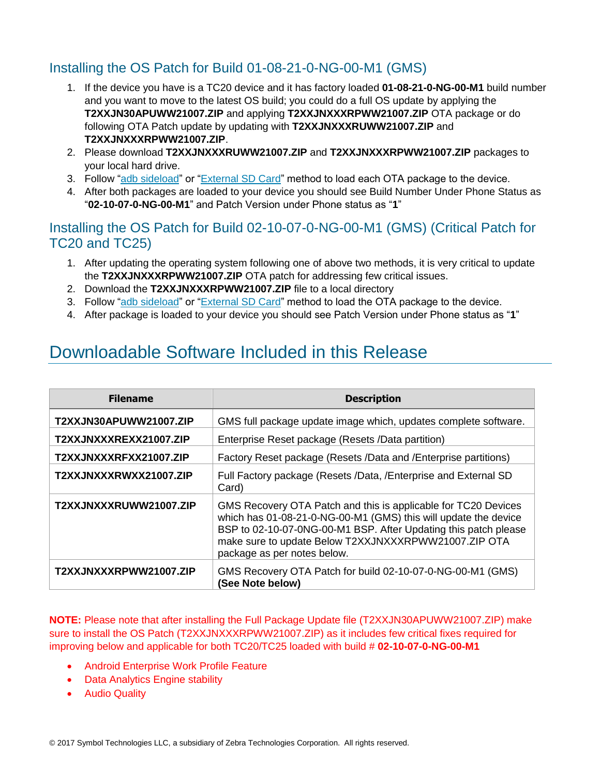### Installing the OS Patch for Build 01-08-21-0-NG-00-M1 (GMS)

- 1. If the device you have is a TC20 device and it has factory loaded **01-08-21-0-NG-00-M1** build number and you want to move to the latest OS build; you could do a full OS update by applying the **T2XXJN30APUWW21007.ZIP** and applying **T2XXJNXXXRPWW21007.ZIP** OTA package or do following OTA Patch update by updating with **T2XXJNXXXRUWW21007.ZIP** and **T2XXJNXXXRPWW21007.ZIP**.
- 2. Please download **T2XXJNXXXRUWW21007.ZIP** and **T2XXJNXXXRPWW21007.ZIP** packages to your local hard drive.
- 3. Follow ["adb sideload"](adb#_Using_the_) or ["External SD Card"](#page-4-0) method to load each OTA package to the device.
- 4. After both packages are loaded to your device you should see Build Number Under Phone Status as "**02-10-07-0-NG-00-M1**" and Patch Version under Phone status as "**1**"

#### Installing the OS Patch for Build 02-10-07-0-NG-00-M1 (GMS) (Critical Patch for TC20 and TC25)

- 1. After updating the operating system following one of above two methods, it is very critical to update the **T2XXJNXXXRPWW21007.ZIP** OTA patch for addressing few critical issues.
- 2. Download the **T2XXJNXXXRPWW21007.ZIP** file to a local directory
- 3. Follow ["adb sideload"](adb#_Using_the_) or ["External SD Card"](#page-4-0) method to load the OTA package to the device.
- 4. After package is loaded to your device you should see Patch Version under Phone status as "**1**"

## <span id="page-5-0"></span>Downloadable Software Included in this Release

| <b>Filename</b>        | <b>Description</b>                                                                                                                                                                                                                                                                          |
|------------------------|---------------------------------------------------------------------------------------------------------------------------------------------------------------------------------------------------------------------------------------------------------------------------------------------|
| T2XXJN30APUWW21007.ZIP | GMS full package update image which, updates complete software.                                                                                                                                                                                                                             |
| T2XXJNXXXREXX21007.ZIP | Enterprise Reset package (Resets /Data partition)                                                                                                                                                                                                                                           |
| T2XXJNXXXRFXX21007.ZIP | Factory Reset package (Resets /Data and /Enterprise partitions)                                                                                                                                                                                                                             |
| T2XXJNXXXRWXX21007.ZIP | Full Factory package (Resets /Data, /Enterprise and External SD<br>Card)                                                                                                                                                                                                                    |
| T2XXJNXXXRUWW21007.ZIP | GMS Recovery OTA Patch and this is applicable for TC20 Devices<br>which has 01-08-21-0-NG-00-M1 (GMS) this will update the device<br>BSP to 02-10-07-0NG-00-M1 BSP. After Updating this patch please<br>make sure to update Below T2XXJNXXXRPWW21007.ZIP OTA<br>package as per notes below. |
| T2XXJNXXXRPWW21007.ZIP | GMS Recovery OTA Patch for build 02-10-07-0-NG-00-M1 (GMS)<br>(See Note below)                                                                                                                                                                                                              |

**NOTE:** Please note that after installing the Full Package Update file (T2XXJN30APUWW21007.ZIP) make sure to install the OS Patch (T2XXJNXXXRPWW21007.ZIP) as it includes few critical fixes required for improving below and applicable for both TC20/TC25 loaded with build # **02-10-07-0-NG-00-M1**

- Android Enterprise Work Profile Feature
- Data Analytics Engine stability
- Audio Quality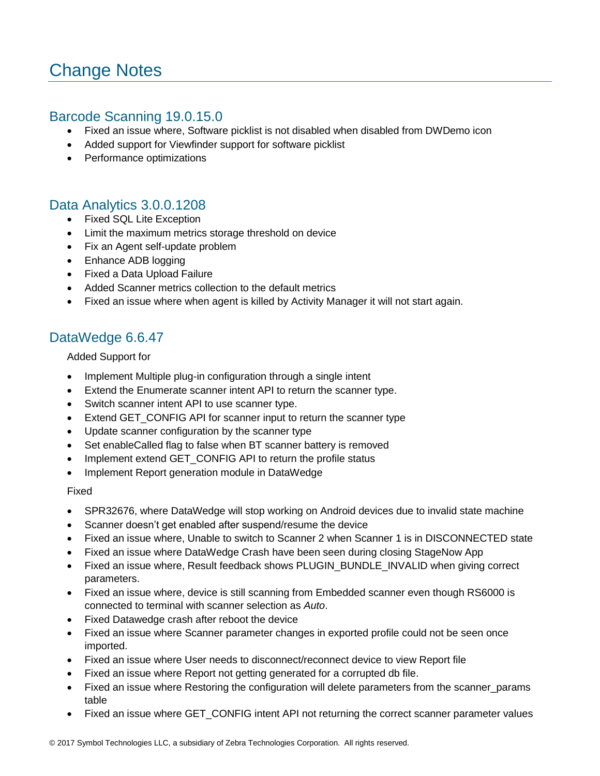# <span id="page-6-0"></span>Change Notes

#### Barcode Scanning 19.0.15.0

- Fixed an issue where, Software picklist is not disabled when disabled from DWDemo icon
- Added support for Viewfinder support for software picklist
- Performance optimizations

#### Data Analytics 3.0.0.1208

- Fixed SQL Lite Exception
- Limit the maximum metrics storage threshold on device
- Fix an Agent self-update problem
- Enhance ADB logging
- Fixed a Data Upload Failure
- Added Scanner metrics collection to the default metrics
- Fixed an issue where when agent is killed by Activity Manager it will not start again.

#### DataWedge 6.6.47

Added Support for

- Implement Multiple plug-in configuration through a single intent
- Extend the Enumerate scanner intent API to return the scanner type.
- Switch scanner intent API to use scanner type.
- Extend GET CONFIG API for scanner input to return the scanner type
- Update scanner configuration by the scanner type
- Set enableCalled flag to false when BT scanner battery is removed
- Implement extend GET\_CONFIG API to return the profile status
- Implement Report generation module in DataWedge

#### Fixed

- SPR32676, where DataWedge will stop working on Android devices due to invalid state machine
- Scanner doesn't get enabled after suspend/resume the device
- Fixed an issue where, Unable to switch to Scanner 2 when Scanner 1 is in DISCONNECTED state
- Fixed an issue where DataWedge Crash have been seen during closing StageNow App
- Fixed an issue where, Result feedback shows PLUGIN\_BUNDLE\_INVALID when giving correct parameters.
- Fixed an issue where, device is still scanning from Embedded scanner even though RS6000 is connected to terminal with scanner selection as *Auto*.
- Fixed Datawedge crash after reboot the device
- Fixed an issue where Scanner parameter changes in exported profile could not be seen once imported.
- Fixed an issue where User needs to disconnect/reconnect device to view Report file
- Fixed an issue where Report not getting generated for a corrupted db file.
- Fixed an issue where Restoring the configuration will delete parameters from the scanner params table
- Fixed an issue where GET\_CONFIG intent API not returning the correct scanner parameter values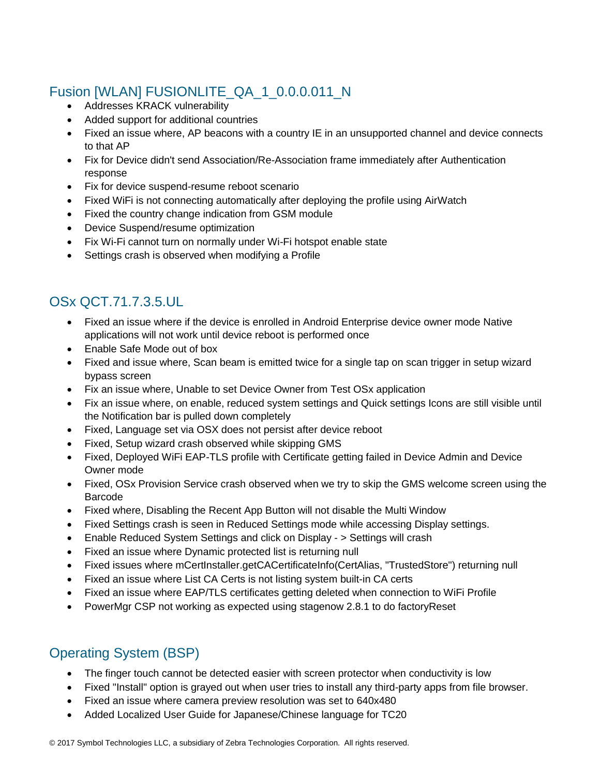### Fusion [WLAN] FUSIONLITE\_QA\_1\_0.0.0.011\_N

- Addresses KRACK vulnerability
- Added support for additional countries
- Fixed an issue where, AP beacons with a country IE in an unsupported channel and device connects to that AP
- Fix for Device didn't send Association/Re-Association frame immediately after Authentication response
- Fix for device suspend-resume reboot scenario
- Fixed WiFi is not connecting automatically after deploying the profile using AirWatch
- Fixed the country change indication from GSM module
- Device Suspend/resume optimization
- Fix Wi-Fi cannot turn on normally under Wi-Fi hotspot enable state
- Settings crash is observed when modifying a Profile

### OSx QCT.71.7.3.5.UL

- Fixed an issue where if the device is enrolled in Android Enterprise device owner mode Native applications will not work until device reboot is performed once
- Enable Safe Mode out of box
- Fixed and issue where, Scan beam is emitted twice for a single tap on scan trigger in setup wizard bypass screen
- Fix an issue where, Unable to set Device Owner from Test OSx application
- Fix an issue where, on enable, reduced system settings and Quick settings Icons are still visible until the Notification bar is pulled down completely
- Fixed, Language set via OSX does not persist after device reboot
- Fixed, Setup wizard crash observed while skipping GMS
- Fixed, Deployed WiFi EAP-TLS profile with Certificate getting failed in Device Admin and Device Owner mode
- Fixed, OSx Provision Service crash observed when we try to skip the GMS welcome screen using the Barcode
- Fixed where, Disabling the Recent App Button will not disable the Multi Window
- Fixed Settings crash is seen in Reduced Settings mode while accessing Display settings.
- Enable Reduced System Settings and click on Display > Settings will crash
- Fixed an issue where Dynamic protected list is returning null
- Fixed issues where mCertInstaller.getCACertificateInfo(CertAlias, "TrustedStore") returning null
- Fixed an issue where List CA Certs is not listing system built-in CA certs
- Fixed an issue where EAP/TLS certificates getting deleted when connection to WiFi Profile
- PowerMgr CSP not working as expected using stagenow 2.8.1 to do factoryReset

### Operating System (BSP)

- The finger touch cannot be detected easier with screen protector when conductivity is low
- Fixed "Install" option is grayed out when user tries to install any third-party apps from file browser.
- Fixed an issue where camera preview resolution was set to 640x480
- Added Localized User Guide for Japanese/Chinese language for TC20